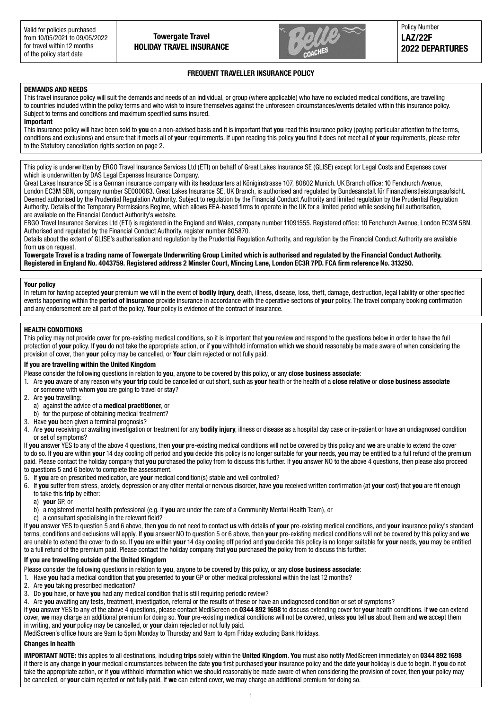

Policy Number **LAZ/22F 2022 DEPARTURES**

#### **FREQUENT TRAVELLER INSURANCE POLICY**

#### **DEMANDS AND NEEDS**

This travel insurance policy will suit the demands and needs of an individual, or group (where applicable) who have no excluded medical conditions, are travelling to countries included within the policy terms and who wish to insure themselves against the unforeseen circumstances/events detailed within this insurance policy. Subject to terms and conditions and maximum specified sums insured.

#### **Important**

This insurance policy will have been sold to **you** on a non-advised basis and it is important that **you** read this insurance policy (paying particular attention to the terms, conditions and exclusions) and ensure that it meets all of **your** requirements. If upon reading this policy **you** find it does not meet all of **your** requirements, please refer to the Statutory cancellation rights section on page 2.

This policy is underwritten by ERGO Travel Insurance Services Ltd (ETI) on behalf of Great Lakes Insurance SE (GLISE) except for Legal Costs and Expenses cover which is underwritten by DAS Legal Expenses Insurance Company.

Great Lakes Insurance SE is a German insurance company with its headquarters at Königinstrasse 107, 80802 Munich. UK Branch office: 10 Fenchurch Avenue, London EC3M 5BN, company number SE000083. Great Lakes Insurance SE, UK Branch, is authorised and regulated by Bundesanstalt für Finanzdienstleistungsaufsicht. Deemed authorised by the Prudential Regulation Authority. Subject to regulation by the Financial Conduct Authority and limited regulation by the Prudential Regulation Authority. Details of the Temporary Permissions Regime, which allows EEA-based firms to operate in the UK for a limited period while seeking full authorisation, are available on the Financial Conduct Authority's website.

ERGO Travel Insurance Services Ltd (ETI) is registered in the England and Wales, company number 11091555. Registered office: 10 Fenchurch Avenue, London EC3M 5BN. Authorised and regulated by the Financial Conduct Authority, register number 805870.

Details about the extent of GLISE's authorisation and regulation by the Prudential Regulation Authority, and regulation by the Financial Conduct Authority are available from **us** on request.

**Towergate Travel is a trading name of Towergate Underwriting Group Limited which is authorised and regulated by the Financial Conduct Authority. Registered in England No. 4043759. Registered address 2 Minster Court, Mincing Lane, London EC3R 7PD. FCA firm reference No. 313250.**

#### **Your policy**

In return for having accepted **your** premium **we** will in the event of **bodily injury**, death, illness, disease, loss, theft, damage, destruction, legal liability or other specified events happening within the **period of insurance** provide insurance in accordance with the operative sections of **your** policy. The travel company booking confirmation and any endorsement are all part of the policy. **Your** policy is evidence of the contract of insurance.

#### **HEALTH CONDITIONS**

This policy may not provide cover for pre-existing medical conditions, so it is important that **you** review and respond to the questions below in order to have the full protection of **your** policy. If **you** do not take the appropriate action, or if **you** withhold information which **we** should reasonably be made aware of when considering the provision of cover, then **your** policy may be cancelled, or **Your** claim rejected or not fully paid.

#### **If you are travelling within the United Kingdom**

Please consider the following questions in relation to **you**, anyone to be covered by this policy, or any **close business associate**:

- 1. Are **you** aware of any reason why **your trip** could be cancelled or cut short, such as **your** health or the health of a **close relative** or **close business associate** or someone with whom **you** are going to travel or stay?
- 2. Are **you** travelling:
	- a) against the advice of a **medical practitioner**, or
- b) for the purpose of obtaining medical treatment?
- 3. Have **you** been given a terminal prognosis?

4. Are **you** receiving or awaiting investigation or treatment for any **bodily injury**, illness or disease as a hospital day case or in-patient or have an undiagnosed condition or set of symptoms?

If **you** answer YES to any of the above 4 questions, then **your** pre-existing medical conditions will not be covered by this policy and **we** are unable to extend the cover to do so. If **you** are within **your** 14 day cooling off period and **you** decide this policy is no longer suitable for **your** needs, **you** may be entitled to a full refund of the premium paid. Please contact the holiday company that **you** purchased the policy from to discuss this further. If **you** answer NO to the above 4 questions, then please also proceed to questions 5 and 6 below to complete the assessment.

5. If **you** are on prescribed medication, are **your** medical condition(s) stable and well controlled?

- 6. If **you** suffer from stress, anxiety, depression or any other mental or nervous disorder, have **you** received written confirmation (at **your** cost) that **you** are fit enough to take this **trip** by either:
	- a) **your** GP, or
	- b) a registered mental health professional (e.g. if **you** are under the care of a Community Mental Health Team), or
	- c) a consultant specialising in the relevant field?

If **you** answer YES to question 5 and 6 above, then **you** do not need to contact **us** with details of **your** pre-existing medical conditions, and **your** insurance policy's standard terms, conditions and exclusions will apply. If **you** answer NO to question 5 or 6 above, then **your** pre-existing medical conditions will not be covered by this policy and **we** are unable to extend the cover to do so. If **you** are within **your** 14 day cooling off period and **you** decide this policy is no longer suitable for **your** needs, **you** may be entitled to a full refund of the premium paid. Please contact the holiday company that **you** purchased the policy from to discuss this further.

#### **If you are travelling outside of the United Kingdom**

Please consider the following questions in relation to **you**, anyone to be covered by this policy, or any **close business associate**:

1. Have **you** had a medical condition that **you** presented to **your** GP or other medical professional within the last 12 months?

- 2. Are **you** taking prescribed medication?
- 3. Do **you** have, or have **you** had any medical condition that is still requiring periodic review?
- 4. Are **you** awaiting any tests, treatment, investigation, referral or the results of these or have an undiagnosed condition or set of symptoms?

If **you** answer YES to any of the above 4 questions, please contact MediScreen on **0344 892 1698** to discuss extending cover for **your** health conditions. If **we** can extend cover, **we** may charge an additional premium for doing so. **Your** pre-existing medical conditions will not be covered, unless **you** tell **us** about them and **we** accept them in writing, and **your** policy may be cancelled, or **your** claim rejected or not fully paid.

MediScreen's office hours are 9am to 5pm Monday to Thursday and 9am to 4pm Friday excluding Bank Holidays.

#### **Changes in health**

**IMPORTANT NOTE:** this applies to all destinations, including **trips** solely within the **United Kingdom**. **You** must also notify MediScreen immediately on **0344 892 1698** if there is any change in **your** medical circumstances between the date **you** first purchased **your** insurance policy and the date **your** holiday is due to begin. If **you** do not take the appropriate action, or if **you** withhold information which **we** should reasonably be made aware of when considering the provision of cover, then **your** policy may be cancelled, or **your** claim rejected or not fully paid. If **we** can extend cover, **we** may charge an additional premium for doing so.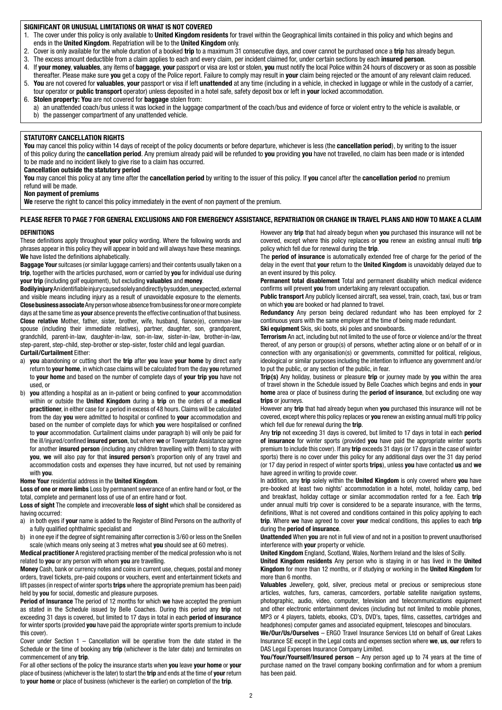#### **SIGNIFICANT OR UNUSUAL LIMITATIONS OR WHAT IS NOT COVERED**

- 1. The cover under this policy is only available to **United Kingdom residents** for travel within the Geographical limits contained in this policy and which begins and ends in the **United Kingdom**. Repatriation will be to the **United Kingdom** only.
- 2. Cover is only available for the whole duration of a booked **trip** to a maximum 31 consecutive days, and cover cannot be purchased once a **trip** has already begun.
- 3. The excess amount deductible from a claim applies to each and every claim, per incident claimed for, under certain sections by each **insured person**.
- 4. If **your money**, **valuables**, any items of **baggage**, **your** passport or visa are lost or stolen, **you** must notify the local Police within 24 hours of discovery or as soon as possible thereafter. Please make sure **you** get a copy of the Police report. Failure to comply may result in **your** claim being rejected or the amount of any relevant claim reduced.
- 5. **You** are not covered for **valuables**, **your** passport or visa if left **unattended** at any time (including in a vehicle, in checked in luggage or while in the custody of a carrier, tour operator or **public transport** operator) unless deposited in a hotel safe, safety deposit box or left in **your** locked accommodation.
- 6. **Stolen property: You** are not covered for **baggage** stolen from:
- a) an unattended coach/bus unless it was locked in the luggage compartment of the coach/bus and evidence of force or violent entry to the vehicle is available, or b) the passenger compartment of any unattended vehicle.

#### **STATUTORY CANCELLATION RIGHTS**

**You** may cancel this policy within 14 days of receipt of the policy documents or before departure, whichever is less (the **cancellation period**), by writing to the issuer of this policy during the **cancellation period**. Any premium already paid will be refunded to **you** providing **you** have not travelled, no claim has been made or is intended to be made and no incident likely to give rise to a claim has occurred.

#### **Cancellation outside the statutory period**

**You** may cancel this policy at any time after the **cancellation period** by writing to the issuer of this policy. If **you** cancel after the **cancellation period** no premium refund will be made.

#### **Non payment of premiums**

We reserve the right to cancel this policy immediately in the event of non payment of the premium.

#### **PLEASE REFER TO PAGE 7 FOR GENERAL EXCLUSIONS AND FOR EMERGENCY ASSISTANCE, REPATRIATION OR CHANGE IN TRAVEL PLANS AND HOW TO MAKE A CLAIM**

#### **DEFINITIONS**

These definitions apply throughout **your** policy wording. Where the following words and phrases appear in this policy they will appear in bold and will always have these meanings. **We** have listed the definitions alphabetically.

**Baggage Your** suitcases (or similar luggage carriers) and their contents usually taken on a **trip**, together with the articles purchased, worn or carried by **you** for individual use during **your trip** (including golf equipment), but excluding **valuables** and **money**.

**Bodily injury** An identifiable injury caused solely and directly by sudden, unexpected, external and visible means including injury as a result of unavoidable exposure to the elements. **Close business associate** Any person whose absence from business for one or more complete days at the same time as **your** absence prevents the effective continuation of that business. **Close relative** Mother, father, sister, brother, wife, husband, fiance(e), common-law spouse (including their immediate relatives), partner, daughter, son, grandparent, grandchild, parent-in-law, daughter-in-law, son-in-law, sister-in-law, brother-in-law, step-parent, step-child, step-brother or step-sister, foster child and legal guardian.

#### **Curtail/Curtailment** Either:

- a) **you** abandoning or cutting short the **trip** after **you** leave **your home** by direct early return to **your home**, in which case claims will be calculated from the day **you** returned to **your home** and based on the number of complete days of **your trip you** have not used, or
- b) **you** attending a hospital as an in-patient or being confined to **your** accommodation within or outside the **United Kingdom** during a **trip** on the orders of a **medical practitioner**, in either case for a period in excess of 48 hours. Claims will be calculated from the day **you** were admitted to hospital or confined to **your** accommodation and based on the number of complete days for which **you** were hospitalised or confined to **your** accommodation. Curtailment claims under paragraph b) will only be paid for the ill/injured/confined **insured person**, but where **we** or Towergate Assistance agree for another **insured person** (including any children travelling with them) to stay with **you**, **we** will also pay for that **insured person**'s proportion only of any travel and accommodation costs and expenses they have incurred, but not used by remaining with **you**.

#### **Home Your** residential address in the **United Kingdom**.

**Loss of one or more limbs** Loss by permanent severance of an entire hand or foot, or the total, complete and permanent loss of use of an entire hand or foot.

**Loss of sight** The complete and irrecoverable **loss of sight** which shall be considered as having occurred:

- a) in both eyes if **your** name is added to the Register of Blind Persons on the authority of a fully qualified ophthalmic specialist and
- b) in one eye if the degree of sight remaining after correction is 3/60 or less on the Snellen scale (which means only seeing at 3 metres what **you** should see at 60 metres).

**Medical practitioner** A registered practising member of the medical profession who is not related to **you** or any person with whom **you** are travelling.

**Money** Cash, bank or currency notes and coins in current use, cheques, postal and money orders, travel tickets, pre-paid coupons or vouchers, event and entertainment tickets and lift passes (in respect of winter sports **trips** where the appropriate premium has been paid) held by **you** for social, domestic and pleasure purposes.

**Period of Insurance** The period of 12 months for which **we** have accepted the premium as stated in the Schedule issued by Belle Coaches. During this period any **trip** not exceeding 31 days is covered, but limited to 17 days in total in each **period of insurance** for winter sports (provided **you** have paid the appropriate winter sports premium to include this cover).

Cover under Section  $1$  – Cancellation will be operative from the date stated in the Schedule or the time of booking any **trip** (whichever is the later date) and terminates on commencement of any **trip**.

For all other sections of the policy the insurance starts when **you** leave **your home** or **your** place of business (whichever is the later) to start the **trip** and ends at the time of **your** return to **your home** or place of business (whichever is the earlier) on completion of the **trip**.

However any **trip** that had already begun when **you** purchased this insurance will not be covered, except where this policy replaces or **you** renew an existing annual multi **trip** policy which fell due for renewal during the **trip**.

The **period of insurance** is automatically extended free of charge for the period of the delay in the event that **your** return to the **United Kingdom** is unavoidably delayed due to an event insured by this policy.

**Permanent total disablement** Total and permanent disability which medical evidence confirms will prevent **you** from undertaking any relevant occupation.

**Public transport** Any publicly licensed aircraft, sea vessel, train, coach, taxi, bus or tram on which **you** are booked or had planned to travel.

**Redundancy** Any person being declared redundant who has been employed for 2 continuous years with the same employer at the time of being made redundant. **Ski equipment** Skis, ski boots, ski poles and snowboards.

**Terrorism** An act, including but not limited to the use of force or violence and/or the threat thereof, of any person or group(s) of persons, whether acting alone or on behalf of or in

connection with any organisation(s) or governments, committed for political, religious, ideological or similar purposes including the intention to influence any government and/or to put the public, or any section of the public, in fear.

**Trip(s)** Any holiday, business or pleasure **trip** or journey made by **you** within the area of travel shown in the Schedule issued by Belle Coaches which begins and ends in **your home** area or place of business during the **period of insurance**, but excluding one way **trips** or journeys.

However any **trip** that had already begun when **you** purchased this insurance will not be covered, except where this policy replaces or **you** renew an existing annual multi trip policy which fell due for renewal during the **trip**.

Any **trip** not exceeding 31 days is covered, but limited to 17 days in total in each **period of insurance** for winter sports (provided **you** have paid the appropriate winter sports premium to include this cover). If any **trip** exceeds 31 days (or 17 days in the case of winter sports) there is no cover under this policy for any additional days over the 31 day period (or 17 day period in respect of winter sports **trips**), unless **you** have contacted **us** and **we** have agreed in writing to provide cover.

In addition, any **trip** solely within the **United Kingdom** is only covered where **you** have pre-booked at least two nights' accommodation in a hotel, motel, holiday camp, bed and breakfast, holiday cottage or similar accommodation rented for a fee. Each **trip** under annual multi trip cover is considered to be a separate insurance, with the terms, definitions, What is not covered and conditions contained in this policy applying to each **trip**. Where **we** have agreed to cover **your** medical conditions, this applies to each **trip** during the **period of insurance**.

**Unattended** When **you** are not in full view of and not in a position to prevent unauthorised interference with **your** property or vehicle.

**United Kingdom** England, Scotland, Wales, Northern Ireland and the Isles of Scilly.

**United Kingdom residents** Any person who is staying in or has lived in the **United Kingdom** for more than 12 months, or if studying or working in the **United Kingdom** for more than 6 months.

**Valuables** Jewellery, gold, silver, precious metal or precious or semiprecious stone articles, watches, furs, cameras, camcorders, portable satellite navigation systems, photographic, audio, video, computer, television and telecommunications equipment and other electronic entertainment devices (including but not limited to mobile phones, MP3 or 4 players, tablets, ebooks, CD's, DVD's, tapes, films, cassettes, cartridges and headphones) computer games and associated equipment, telescopes and binoculars.

**We/Our/Us/Ourselves** – ERGO Travel Insurance Services Ltd on behalf of Great Lakes Insurance SE except in the Legal costs and expenses section where **we**, **us**, **our** refers to DAS Legal Expenses Insurance Company Limited.

**You/Your/Yourself/Insured person** – Any person aged up to 74 years at the time of purchase named on the travel company booking confirmation and for whom a premium has been paid.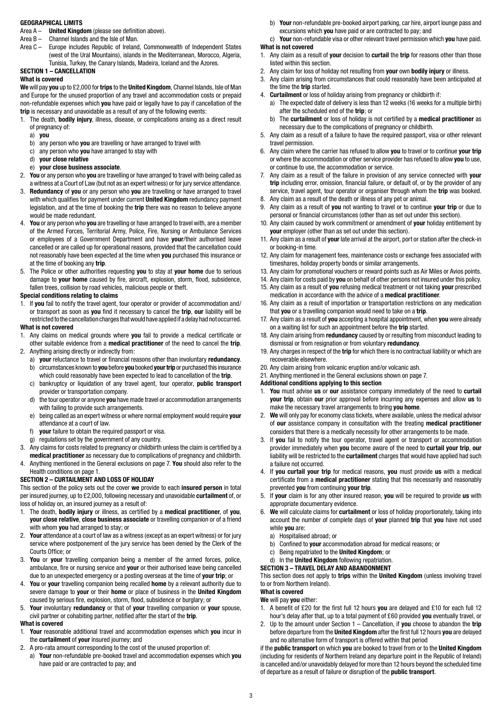#### **GEOGRAPHICAL LIMITS**

- Area A **United Kingdom** (please see definition above).
- Area B Channel Islands and the Isle of Man.
- Area C Europe includes Republic of Ireland, Commonwealth of Independent States (west of the Ural Mountains), islands in the Mediterranean, Morocco, Algeria, Tunisia, Turkey, the Canary Islands, Madeira, Iceland and the Azores.
- **SECTION 1 CANCELLATION**

#### **What is covered**

**We** will pay **you** up to £2,000 for **trips** to the **United Kingdom**, Channel Islands, Isle of Man and Europe for the unused proportion of any travel and accommodation costs or prepaid non-refundable expenses which **you** have paid or legally have to pay if cancellation of the **trip** is necessary and unavoidable as a result of any of the following events:

- 1. The death, **bodily injury**, illness, disease, or complications arising as a direct result of pregnancy of:
	- a) **you**
	- b) any person who **you** are travelling or have arranged to travel with
	- c) any person who **you** have arranged to stay with
	- d) **your close relative**
	- e) **your close business associate**.
- 2. **You** or any person who **you** are travelling or have arranged to travel with being called as a witness at a Court of Law (but not as an expert witness) or for jury service attendance.
- 3. **Redundancy** of **you** or any person who **you** are travelling or have arranged to travel with which qualifies for payment under current **United Kingdom** redundancy payment legislation, and at the time of booking the **trip** there was no reason to believe anyone would be made redundant.
- 4. **You** or any person who **you** are travelling or have arranged to travel with, are a member of the Armed Forces, Territorial Army, Police, Fire, Nursing or Ambulance Services or employees of a Government Department and have **your**/their authorised leave cancelled or are called up for operational reasons, provided that the cancellation could not reasonably have been expected at the time when **you** purchased this insurance or at the time of booking any **trip**.
- 5. The Police or other authorities requesting **you** to stay at **your home** due to serious damage to **your home** caused by fire, aircraft, explosion, storm, flood, subsidence, fallen trees, collision by road vehicles, malicious people or theft.

#### **Special conditions relating to claims**

1. If **you** fail to notify the travel agent, tour operator or provider of accommodation and/ or transport as soon as **you** find it necessary to cancel the **trip**, **our** liability will be restricted to the cancellation charges that would have applied if a delay had not occurred.

#### **What is not covered**

- 1. Any claims on medical grounds where **you** fail to provide a medical certificate or other suitable evidence from a **medical practitioner** of the need to cancel the **trip**.
- 2. Anything arising directly or indirectly from:
	- a) **your** reluctance to travel or financial reasons other than involuntary **redundancy**. b) circumstances known to **you** before **you** booked **yourtrip** or purchased this insurance which could reasonably have been expected to lead to cancellation of the **trip**.
	- c) bankruptcy or liquidation of any travel agent, tour operator, **public transport** provider or transportation company.
	- d) the tour operator or anyone **you** have made travel or accommodation arrangements with failing to provide such arrangements.
	- e) being called as an expert witness or where normal employment would require **your** attendance at a court of law.
	- f) **your** failure to obtain the required passport or visa.
	- g) regulations set by the government of any country.
- 3. Any claims for costs related to pregnancy or childbirth unless the claim is certified by a **medical practitioner** as necessary due to complications of pregnancy and childbirth.
- 4. Anything mentioned in the General exclusions on page 7. **You** should also refer to the Health conditions on page 1.

#### **SECTION 2 – CURTAILMENT AND LOSS OF HOLIDAY**

This section of the policy sets out the cover **we** provide to each **insured person** in total per insured journey, up to £2,000, following necessary and unavoidable **curtailment** of, or loss of holiday on, an insured journey as a result of:

- 1. The death, **bodily injury** or illness, as certified by a **medical practitioner**, of **you**, **your close relative**, **close business associate** or travelling companion or of a friend with whom **you** had arranged to stay; or
- 2. **Your** attendance at a court of law as a witness (except as an expert witness) or for jury service where postponement of the jury service has been denied by the Clerk of the Courts Office; or
- 3. **You** or **your** travelling companion being a member of the armed forces, police, ambulance, fire or nursing service and **your** or their authorised leave being cancelled due to an unexpected emergency or a posting overseas at the time of **your trip**; or
- 4. **You** or **your** travelling companion being recalled **home** by a relevant authority due to severe damage to **your** or their **home** or place of business in the **United Kingdom** caused by serious fire, explosion, storm, flood, subsidence or burglary; or
- 5. **Your** involuntary **redundancy** or that of **your** travelling companion or **your** spouse, civil partner or cohabiting partner, notified after the start of the **trip**.

#### **What is covered**

- 1. **Your** reasonable additional travel and accommodation expenses which **you** incur in the **curtailment** of **your** insured journey; and
- 2. A pro-rata amount corresponding to the cost of the unused proportion of:
- a) **Your** non-refundable pre-booked travel and accommodation expenses which **you** have paid or are contracted to pay; and

b) **Your** non-refundable pre-booked airport parking, car hire, airport lounge pass and excursions which **you** have paid or are contracted to pay; and

c) **Your** non-refundable visa or other relevant travel permission which **you** have paid. **What is not covered**

- 1. Any claim as a result of **your** decision to **curtail** the **trip** for reasons other than those listed within this section.
- 2. Any claim for loss of holiday not resulting from **your** own **bodily injury** or illness.
- 3. Any claim arising from circumstances that could reasonably have been anticipated at
- the time the **trip** started.
- 4. **Curtailment** or loss of holiday arising from pregnancy or childbirth if:
	- a) The expected date of delivery is less than 12 weeks (16 weeks for a multiple birth) after the scheduled end of the **trip**; or
	- b) The **curtailment** or loss of holiday is not certified by a **medical practitioner** as necessary due to the complications of pregnancy or childbirth.
- 5. Any claim as a result of a failure to have the required passport, visa or other relevant travel permission.
- 6. Any claim where the carrier has refused to allow **you** to travel or to continue **your trip** or where the accommodation or other service provider has refused to allow **you** to use, or continue to use, the accommodation or service.
- 7. Any claim as a result of the failure in provision of any service connected with **your trip** including error, omission, financial failure, or default of, or by the provider of any service, travel agent, tour operator or organiser through whom the **trip** was booked.
- 8. Any claim as a result of the death or illness of any pet or animal.
- 9. Any claim as a result of **you** not wanting to travel or to continue **your trip** or due to personal or financial circumstances (other than as set out under this section).
- 10. Any claim caused by work commitment or amendment of **your** holiday entitlement by **your** employer (other than as set out under this section).
- 11. Any claim as a result of **your** late arrival at the airport, port or station after the check-in or booking-in time.
- 12. Any claim for management fees, maintenance costs or exchange fees associated with timeshares, holiday property bonds or similar arrangements.
- 13. Any claim for promotional vouchers or reward points such as Air Miles or Avios points.
- 14. Any claim for costs paid by **you** on behalf of other persons not insured under this policy.
- 15. Any claim as a result of **you** refusing medical treatment or not taking **your** prescribed
	- medication in accordance with the advice of a **medical practitioner**. 16. Any claim as a result of importation or transportation restrictions on any medication
	- that **you** or a travelling companion would need to take on a **trip**. 17. Any claim as a result of **you** accepting a hospital appointment, when **you** were already
	- on a waiting list for such an appointment before the **trip** started.
	- 18. Any claim arising from **redundancy** caused by or resulting from misconduct leading to dismissal or from resignation or from voluntary **redundancy**.
	- 19. Any charges in respect of the **trip** for which there is no contractual liability or which are recoverable elsewhere.
	- 20. Any claim arising from volcanic eruption and/or volcanic ash.
	- 21. Anything mentioned in the General exclusions shown on page 7.
	- **Additional conditions applying to this section**
	- 1. **You** must advise **us** or **our** assistance company immediately of the need to **curtail your trip**, obtain **our** prior approval before incurring any expenses and allow **us** to make the necessary travel arrangements to bring **you home**.
	- 2. **We** will only pay for economy class tickets, where available, unless the medical advisor of **our** assistance company in consultation with the treating **medical practitioner** considers that there is a medically necessity for other arrangements to be made.
	- 3. If **you** fail to notify the tour operator, travel agent or transport or accommodation provider immediately when **you** become aware of the need to **curtail your trip**, **our** liability will be restricted to the **curtailment** charges that would have applied had such a failure not occurred.
	- 4. If **you curtail your trip** for medical reasons, **you** must provide **us** with a medical certificate from a **medical practitioner** stating that this necessarily and reasonably prevented **you** from continuing **your trip**.
	- 5. If **your** claim is for any other insured reason, **you** will be required to provide **us** with appropriate documentary evidence.
	- 6. **We** will calculate claims for **curtailment** or loss of holiday proportionately, taking into account the number of complete days of **your** planned **trip** that **you** have not used while **you** are:
		- a) Hospitalised abroad; or
		- b) Confined to **your** accommodation abroad for medical reasons; or
		- c) Being repatriated to the **United Kingdom**; or

#### d) In the **United Kingdom** following repatriation. **SECTION 3 – TRAVEL DELAY AND ABANDONMENT**

This section does not apply to **trips** within the **United Kingdom** (unless involving travel to or from Northern Ireland).

## **What is covered**

- **We** will pay **you** either:
- 1. A benefit of £20 for the first full 12 hours **you** are delayed and £10 for each full 12 hour's delay after that, up to a total payment of £60 provided **you** eventually travel, or
- 2. Up to the amount under Section 1 Cancellation, if **you** choose to abandon the **trip** before departure from the **United Kingdom** after the first full 12 hours **you** are delayed and no alternative form of transport is offered within that period

if the **public transport** on which **you** are booked to travel from or to the **United Kingdom** (including for residents of Northern Ireland any departure point in the Republic of Ireland) is cancelled and/or unavoidably delayed for more than 12 hours beyond the scheduled time of departure as a result of failure or disruption of the **public transport**.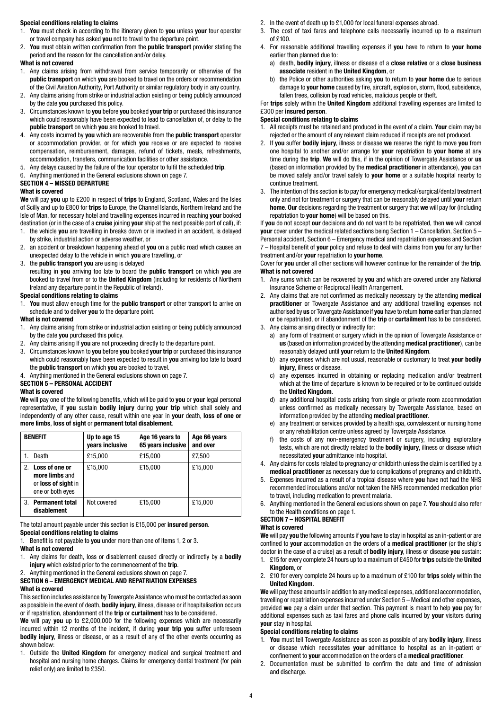#### **Special conditions relating to claims**

- 1. **You** must check in according to the itinerary given to **you** unless **your** tour operator or travel company has asked **you** not to travel to the departure point.
- 2. **You** must obtain written confirmation from the **public transport** provider stating the period and the reason for the cancellation and/or delay.

#### **What is not covered**

- 1. Any claims arising from withdrawal from service temporarily or otherwise of the **public transport** on which **you** are booked to travel on the orders or recommendation of the Civil Aviation Authority, Port Authority or similar regulatory body in any country.
- 2. Any claims arising from strike or industrial action existing or being publicly announced by the date **you** purchased this policy.
- 3. Circumstances known to **you** before **you** booked **your trip** or purchased this insurance which could reasonably have been expected to lead to cancellation of, or delay to the **public transport** on which **you** are booked to travel.
- 4. Any costs incurred by **you** which are recoverable from the **public transport** operator or accommodation provider, or for which **you** receive or are expected to receive compensation, reimbursement, damages, refund of tickets, meals, refreshments, accommodation, transfers, communication facilities or other assistance.
- 5. Any delays caused by the failure of the tour operator to fulfil the scheduled **trip**.
- 6. Anything mentioned in the General exclusions shown on page 7.

# **SECTION 4 – MISSED DEPARTURE**

#### **What is covered**

**We** will pay **you** up to £200 in respect of **trips** to England, Scotland, Wales and the Isles of Scilly and up to £800 for **trips** to Europe, the Channel Islands, Northern Ireland and the Isle of Man, for necessary hotel and travelling expenses incurred in reaching **your** booked destination (or in the case of a **cruise** joining **your** ship at the next possible port of call), if:

- 1. the vehicle **you** are travelling in breaks down or is involved in an accident, is delayed by strike, industrial action or adverse weather, or
- 2. an accident or breakdown happening ahead of **you** on a public road which causes an unexpected delay to the vehicle in which **you** are travelling, or
- 3. the **public transport you** are using is delayed

 resulting in **you** arriving too late to board the **public transport** on which **you** are booked to travel from or to the **United Kingdom** (including for residents of Northern Ireland any departure point in the Republic of Ireland).

#### **Special conditions relating to claims**

1. **You** must allow enough time for the **public transport** or other transport to arrive on schedule and to deliver **you** to the departure point.

#### **What is not covered**

- 1. Any claims arising from strike or industrial action existing or being publicly announced by the date **you** purchased this policy.
- 2. Any claims arising If **you** are not proceeding directly to the departure point.
- 3. Circumstances known to **you** before **you** booked **your trip** or purchased this insurance which could reasonably have been expected to result in **you** arriving too late to board the **public transport** on which **you** are booked to travel.
- 4. Anything mentioned in the General exclusions shown on page 7.

### **SECTION 5 – PERSONAL ACCIDENT**

#### **What is covered**

**We** will pay one of the following benefits, which will be paid to **you** or **your** legal personal representative, if **you** sustain **bodily injury** during **your trip** which shall solely and independently of any other cause, result within one year in **your** death, **loss of one or more limbs**, **loss of sight** or **permanent total disablement**.

|    | <b>BENEFIT</b>                                                              | Up to age 15<br>years inclusive | Age 16 years to<br>65 years inclusive | Age 66 years<br>and over |
|----|-----------------------------------------------------------------------------|---------------------------------|---------------------------------------|--------------------------|
|    | Death                                                                       | £15,000                         | £15,000                               | £7,500                   |
| 2. | Loss of one or<br>more limbs and<br>or loss of sight in<br>one or both eyes | £15.000                         | £15,000                               | £15,000                  |
| 3. | <b>Permanent total</b><br>disablement                                       | Not covered                     | £15,000                               | £15,000                  |

The total amount payable under this section is £15,000 per **insured person**. **Special conditions relating to claims**

1. Benefit is not payable to **you** under more than one of items 1, 2 or 3.

#### **What is not covered**

- 1. Any claims for death, loss or disablement caused directly or indirectly by a **bodily injury** which existed prior to the commencement of the **trip**.
- 2. Anything mentioned in the General exclusions shown on page 7.

#### **SECTION 6 – EMERGENCY MEDICAL AND REPATRIATION EXPENSES What is covered**

This section includes assistance by Towergate Assistance who must be contacted as soon as possible in the event of death, **bodily injury**, illness, disease or if hospitalisation occurs or if repatriation, abandonment of the **trip** or **curtailment** has to be considered.

**We** will pay **you** up to £2,000,000 for the following expenses which are necessarily incurred within 12 months of the incident, if during **your trip you** suffer unforeseen **bodily injury**, illness or disease, or as a result of any of the other events occurring as shown below:

1. Outside the **United Kingdom** for emergency medical and surgical treatment and hospital and nursing home charges. Claims for emergency dental treatment (for pain relief only) are limited to £350.

- 2. In the event of death up to £1,000 for local funeral expenses abroad.
- 3. The cost of taxi fares and telephone calls necessarily incurred up to a maximum of £100.
- 4. For reasonable additional travelling expenses if **you** have to return to **your home** earlier than planned due to:
	- a) death, **bodily injury**, illness or disease of a **close relative** or a **close business associate** resident in the **United Kingdom**, or
	- b) the Police or other authorities asking **you** to return to **your home** due to serious damage to **your home** caused by fire, aircraft, explosion, storm, flood, subsidence, fallen trees, collision by road vehicles, malicious people or theft.

For **trips** solely within the **United Kingdom** additional travelling expenses are limited to £300 per **insured person**.

#### **Special conditions relating to claims**

- 1. All receipts must be retained and produced in the event of a claim. **Your** claim may be rejected or the amount of any relevant claim reduced if receipts are not produced.
- 2. If **you** suffer **bodily injury**, illness or disease **we** reserve the right to move **you** from one hospital to another and/or arrange for **your** repatriation to **your home** at any time during the **trip**. **We** will do this, if in the opinion of Towergate Assistance or **us** (based on information provided by the **medical practitioner** in attendance), **you** can be moved safely and/or travel safely to **your home** or a suitable hospital nearby to continue treatment.
- 3. The intention of this section is to pay for emergency medical/surgical/dental treatment only and not for treatment or surgery that can be reasonably delayed until **your** return **home**. **Our** decisions regarding the treatment or surgery that **we** will pay for (including repatriation to **your home**) will be based on this.

If **you** do not accept **our** decisions and do not want to be repatriated, then **we** will cancel **your** cover under the medical related sections being Section 1 – Cancellation, Section 5 – Personal accident, Section 6 – Emergency medical and repatriation expenses and Section 7 – Hospital benefit of **your** policy and refuse to deal with claims from **you** for any further treatment and/or **your** repatriation to **your home**.

Cover for **you** under all other sections will however continue for the remainder of the **trip**. **What is not covered**

- 1. Any sums which can be recovered by **you** and which are covered under any National Insurance Scheme or Reciprocal Health Arrangement.
- 2. Any claims that are not confirmed as medically necessary by the attending **medical practitioner** or Towergate Assistance and any additional travelling expenses not authorised by **us** or Towergate Assistance if **you** have to return **home** earlier than planned or be repatriated, or if abandonment of the **trip** or **curtailment** has to be considered.
- 3. Any claims arising directly or indirectly for:
	- a) any form of treatment or surgery which in the opinion of Towergate Assistance or **us** (based on information provided by the attending **medical practitioner**), can be reasonably delayed until **your** return to the **United Kingdom**.
	- b) any expenses which are not usual, reasonable or customary to treat **your bodily injury**, illness or disease.
	- any expenses incurred in obtaining or replacing medication and/or treatment which at the time of departure is known to be required or to be continued outside the **United Kingdom**.
	- d) any additional hospital costs arising from single or private room accommodation unless confirmed as medically necessary by Towergate Assistance, based on information provided by the attending **medical practitioner**.
	- e) any treatment or services provided by a health spa, convalescent or nursing home or any rehabilitation centre unless agreed by Towergate Assistance.
	- f) the costs of any non-emergency treatment or surgery, including exploratory tests, which are not directly related to the **bodily injury**, illness or disease which necessitated **your** admittance into hospital.
- 4. Any claims for costs related to pregnancy or childbirth unless the claim is certified by a **medical practitioner** as necessary due to complications of pregnancy and childbirth.
- 5. Expenses incurred as a result of a tropical disease where **you** have not had the NHS recommended inoculations and/or not taken the NHS recommended medication prior to travel, including medication to prevent malaria.
- 6. Anything mentioned in the General exclusions shown on page 7. **You** should also refer to the Health conditions on page 1.

#### **SECTION 7 – HOSPITAL BENEFIT**

#### **What is covered**

**We** will pay **you** the following amounts if **you** have to stay in hospital as an in-patient or are confined to **your** accommodation on the orders of a **medical practitioner** (or the ship's doctor in the case of a cruise) as a result of **bodily injury**, illness or disease **you** sustain:

- 1. £15 for every complete 24 hours up to a maximum of £450 for **trips** outside the **United Kingdom**, or
- 2. £10 for every complete 24 hours up to a maximum of £100 for **trips** solely within the **United Kingdom**.

**We** will pay these amounts in addition to any medical expenses, additional accommodation, travelling or repatriation expenses incurred under Section 5 – Medical and other expenses, provided **we** pay a claim under that section. This payment is meant to help **you** pay for additional expenses such as taxi fares and phone calls incurred by **your** visitors during **your** stay in hospital.

#### **Special conditions relating to claims**

- 1. **You** must tell Towergate Assistance as soon as possible of any **bodily injury**, illness or disease which necessitates **your** admittance to hospital as an in-patient or confinement to **your** accommodation on the orders of a **medical practitioner**.
- 2. Documentation must be submitted to confirm the date and time of admission and discharge.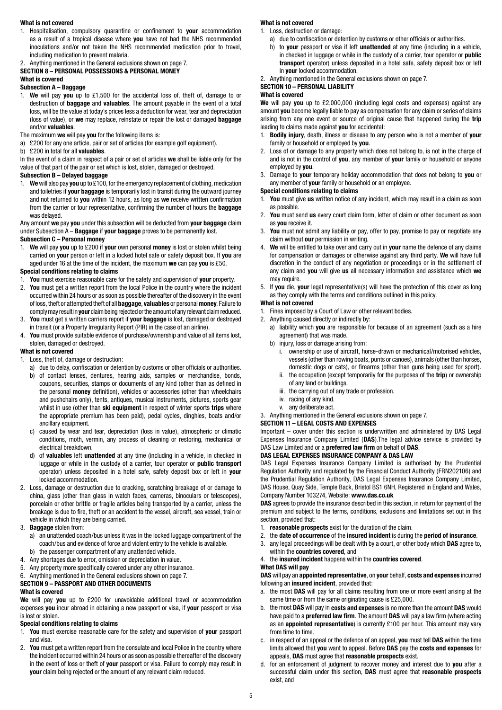#### **What is not covered**

1. Hospitalisation, compulsory quarantine or confinement to **your** accommodation as a result of a tropical disease where **you** have not had the NHS recommended inoculations and/or not taken the NHS recommended medication prior to travel, including medication to prevent malaria.

#### 2. Anything mentioned in the General exclusions shown on page 7.

# **SECTION 8 – PERSONAL POSSESSIONS & PERSONAL MONEY**

# **What is covered**

#### **Subsection A – Baggage**

- 1. **We** will pay **you** up to £1,500 for the accidental loss of, theft of, damage to or destruction of **baggage** and **valuables**. The amount payable in the event of a total loss, will be the value at today's prices less a deduction for wear, tear and depreciation (loss of value), or **we** may replace, reinstate or repair the lost or damaged **baggage** and/or **valuables**.
- The maximum **we** will pay **you** for the following items is:
- a) £200 for any one article, pair or set of articles (for example golf equipment).
- b) £200 in total for all **valuables**.

In the event of a claim in respect of a pair or set of articles **we** shall be liable only for the value of that part of the pair or set which is lost, stolen, damaged or destroyed.

#### **Subsection B – Delayed baggage**

1. **We** will also pay **you** up to £100, for the emergency replacement of clothing, medication and toiletries if **your baggage** is temporarily lost in transit during the outward journey and not returned to **you** within 12 hours, as long as **we** receive written confirmation from the carrier or tour representative, confirming the number of hours the **baggage** was delayed.

#### Any amount **we** pay **you** under this subsection will be deducted from **your baggage** claim under Subsection A – **Baggage** if **your baggage** proves to be permanently lost.

#### **Subsection C – Personal money**

1. **We** will pay **you** up to £200 if **your** own personal **money** is lost or stolen whilst being carried on **your** person or left in a locked hotel safe or safety deposit box. If **you** are aged under 16 at the time of the incident, the maximum **we** can pay **you** is £50.

#### **Special conditions relating to claims**

- 1. **You** must exercise reasonable care for the safety and supervision of **your** property.
- 2. **You** must get a written report from the local Police in the country where the incident occurred within 24 hours or as soon as possible thereafter of the discovery in the event of loss, theft or attempted theft of all **baggage**, **valuables** or personal **money**. Failure to comply may result in **your** claim being rejected or the amount of any relevant claim reduced.
- 3. **You** must get a written carriers report if **your baggage** is lost, damaged or destroyed in transit (or a Property Irregularity Report (PIR) in the case of an airline).
- 4. **You** must provide suitable evidence of purchase/ownership and value of all items lost, stolen, damaged or destroyed.

#### **What is not covered**

- 1. Loss, theft of, damage or destruction:
	- a) due to delay, confiscation or detention by customs or other officials or authorities.
	- b) of contact lenses, dentures, hearing aids, samples or merchandise, bonds, coupons, securities, stamps or documents of any kind (other than as defined in the personal **money** definition), vehicles or accessories (other than wheelchairs and pushchairs only), tents, antiques, musical instruments, pictures, sports gear whilst in use (other than **ski equipment** in respect of winter sports **trips** where the appropriate premium has been paid), pedal cycles, dinghies, boats and/or ancillary equipment.
	- c) caused by wear and tear, depreciation (loss in value), atmospheric or climatic conditions, moth, vermin, any process of cleaning or restoring, mechanical or electrical breakdown.
	- d) of **valuables** left **unattended** at any time (including in a vehicle, in checked in luggage or while in the custody of a carrier, tour operator or **public transport** operator) unless deposited in a hotel safe, safety deposit box or left in **your** locked accommodation.
- 2. Loss, damage or destruction due to cracking, scratching breakage of or damage to china, glass (other than glass in watch faces, cameras, binoculars or telescopes), porcelain or other brittle or fragile articles being transported by a carrier, unless the breakage is due to fire, theft or an accident to the vessel, aircraft, sea vessel, train or vehicle in which they are being carried.

#### 3. **Baggage** stolen from:

- a) an unattended coach/bus unless it was in the locked luggage compartment of the coach/bus and evidence of force and violent entry to the vehicle is available. b) the passenger compartment of any unattended vehicle.
- 
- 4. Any shortages due to error, omission or depreciation in value.
- 5. Any property more specifically covered under any other insurance. 6. Anything mentioned in the General exclusions shown on page 7.

#### **SECTION 9 – PASSPORT AND OTHER DOCUMENTS What is covered**

**We** will pay **you** up to £200 for unavoidable additional travel or accommodation expenses **you** incur abroad in obtaining a new passport or visa, if **your** passport or visa is lost or stolen.

## **Special conditions relating to claims**

- 1. **You** must exercise reasonable care for the safety and supervision of **your** passport and visa.
- 2. **You** must get a written report from the consulate and local Police in the country where the incident occurred within 24 hours or as soon as possible thereafter of the discovery in the event of loss or theft of **your** passport or visa. Failure to comply may result in **your** claim being rejected or the amount of any relevant claim reduced.

#### **What is not covered**

- 1. Loss, destruction or damage:
	- a) due to confiscation or detention by customs or other officials or authorities.
	- b) to **your** passport or visa if left **unattended** at any time (including in a vehicle, in checked in luggage or while in the custody of a carrier, tour operator or **public transport** operator) unless deposited in a hotel safe, safety deposit box or left in **your** locked accommodation.
- 2. Anything mentioned in the General exclusions shown on page 7.

#### **SECTION 10 – PERSONAL LIABILITY**

#### **What is covered**

**We** will pay **you** up to £2,000,000 (including legal costs and expenses) against any amount **you** become legally liable to pay as compensation for any claim or series of claims arising from any one event or source of original cause that happened during the **trip** leading to claims made against **you** for accidental:

- 1. **Bodily injury**, death, illness or disease to any person who is not a member of **your** family or household or employed by **you**.
- 2. Loss of or damage to any property which does not belong to, is not in the charge of and is not in the control of **you**, any member of **your** family or household or anyone employed by **you**.
- 3. Damage to **your** temporary holiday accommodation that does not belong to **you** or any member of **your** family or household or an employee.

#### **Special conditions relating to claims**

- 1. **You** must give **us** written notice of any incident, which may result in a claim as soon as possible.
- 2. **You** must send **us** every court claim form, letter of claim or other document as soon as **you** receive it.
- 3. **You** must not admit any liability or pay, offer to pay, promise to pay or negotiate any claim without **our** permission in writing.
- 4. **We** will be entitled to take over and carry out in **your** name the defence of any claims for compensation or damages or otherwise against any third party. **We** will have full discretion in the conduct of any negotiation or proceedings or in the settlement of any claim and **you** will give **us** all necessary information and assistance which **we** may require.
- 5. If **you** die, **your** legal representative(s) will have the protection of this cover as long as they comply with the terms and conditions outlined in this policy.

#### **What is not covered**

- 1. Fines imposed by a Court of Law or other relevant bodies.
- 2. Anything caused directly or indirectly by:
	- a) liability which **you** are responsible for because of an agreement (such as a hire agreement) that was made.
	- b) injury, loss or damage arising from:
		- i. ownership or use of aircraft, horse-drawn or mechanical/motorised vehicles, vessels (other than rowing boats, punts or canoes), animals (other than horses, domestic dogs or cats), or firearms (other than guns being used for sport).
		- ii. the occupation (except temporarily for the purposes of the **trip**) or ownership of any land or buildings.
		- iii. the carrying out of any trade or profession.
		- iv. racing of any kind.
		- v. any deliberate act.

3. Anything mentioned in the General exclusions shown on page 7.

#### **SECTION 11 – LEGAL COSTS AND EXPENSES**

Important – cover under this section is underwritten and administered by DAS Legal Expenses Insurance Company Limited (**DAS**).The legal advice service is provided by DAS Law Limited and or a **preferred law firm** on behalf of **DAS**.

#### **DAS LEGAL EXPENSES INSURANCE COMPANY & DAS LAW**

DAS Legal Expenses Insurance Company Limited is authorised by the Prudential Regulation Authority and regulated by the Financial Conduct Authority (FRN202106) and the Prudential Regulation Authority, DAS Legal Expenses Insurance Company Limited, DAS House, Quay Side, Temple Back, Bristol BS1 6NH, Registered in England and Wales, Company Number 103274, Website: **[www.das.co.uk](http://www.das.co.uk)**

**DAS** agrees to provide the insurance described in this section, in return for payment of the premium and subject to the terms, conditions, exclusions and limitations set out in this section, provided that:

- 1. **reasonable prospects** exist for the duration of the claim.
- 2. the **date of occurrence** of the **insured incident** is during the **period of insurance**. 3. any legal proceedings will be dealt with by a court, or other body which **DAS** agree to, within the **countries covered**, and
- 4. the **insured incident** happens within the **countries covered**.

#### **What DAS will pay**

**DAS** will pay an **appointed representative**, on **your** behalf, **costs and expenses** incurred following an **insured incident**, provided that:

- a. the most **DAS** will pay for all claims resulting from one or more event arising at the same time or from the same originating cause is £25,000.
- b. the most **DAS** will pay in **costs and expenses** is no more than the amount **DAS** would have paid to a **preferred law firm**. The amount **DAS** will pay a law firm (where acting as an **appointed representative**) is currently £100 per hour. This amount may vary from time to time.
- c. in respect of an appeal or the defence of an appeal, **you** must tell **DAS** within the time limits allowed that **you** want to appeal. Before **DAS** pay the **costs and expenses** for appeals, **DAS** must agree that **reasonable prospects** exist.
- d. for an enforcement of judgment to recover money and interest due to **you** after a successful claim under this section, **DAS** must agree that **reasonable prospects** exist, and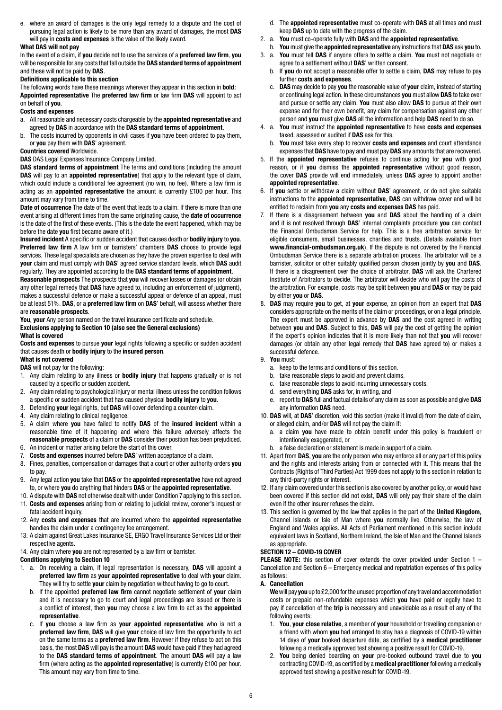e. where an award of damages is the only legal remedy to a dispute and the cost of pursuing legal action is likely to be more than any award of damages, the most **DAS** will pay in **costs and expenses** is the value of the likely award.

#### **What DAS will not pay**

In the event of a claim, if **you** decide not to use the services of a **preferred law firm**, **you** will be responsible for any costs that fall outside the **DAS standard terms of appointment** and these will not be paid by **DAS**.

#### **Definitions applicable to this section**

The following words have these meanings wherever they appear in this section in **bold**: **Appointed representative** The **preferred law firm** or law firm **DAS** will appoint to act on behalf of **you**.

#### **Costs and expenses**

- a. All reasonable and necessary costs chargeable by the **appointed representative** and agreed by **DAS** in accordance with the **DAS standard terms of appointment**.
- b. The costs incurred by opponents in civil cases if **you** have been ordered to pay them, or **you** pay them with **DAS**' agreement.

#### **Countries covered** Worldwide.

**DAS** DAS Legal Expenses Insurance Company Limited.

**DAS standard terms of appointment** The terms and conditions (including the amount **DAS** will pay to an **appointed representative**) that apply to the relevant type of claim, which could include a conditional fee agreement (no win, no fee). Where a law firm is acting as an **appointed representative** the amount is currently £100 per hour. This amount may vary from time to time.

**Date of occurrence** The date of the event that leads to a claim. If there is more than one event arising at different times from the same originating cause, the **date of occurrence** is the date of the first of these events. (This is the date the event happened, which may be before the date **you** first became aware of it.)

**Insured incident** A specific or sudden accident that causes death or **bodily injury** to **you**. **Preferred law firm** A law firm or barristers' chambers **DAS** choose to provide legal services. These legal specialists are chosen as they have the proven expertise to deal with **your** claim and must comply with **DAS**' agreed service standard levels, which **DAS** audit regularly. They are appointed according to the **DAS standard terms of appointment**.

**Reasonable prospects** The prospects that **you** will recover losses or damages (or obtain any other legal remedy that **DAS** have agreed to, including an enforcement of judgment), makes a successful defence or make a successful appeal or defence of an appeal, must be at least 51%. **DAS**, or a **preferred law firm** on **DAS**' behalf, will assess whether there are **reasonable prospects**.

**You**, **your** Any person named on the travel insurance certificate and schedule. **Exclusions applying to Section 10 (also see the General exclusions) What is covered**

#### **Costs and expenses** to pursue **your** legal rights following a specific or sudden accident that causes death or **bodily injury** to the **insured person**.

#### **What is not covered**

**DAS** will not pay for the following:

- 1. Any claim relating to any illness or **bodily injury** that happens gradually or is not caused by a specific or sudden accident.
- 2. Any claim relating to psychological injury or mental illness unless the condition follows a specific or sudden accident that has caused physical **bodily injury** to **you**.
- 3. Defending **your** legal rights, but **DAS** will cover defending a counter-claim.
- 4. Any claim relating to clinical negligence.
- 5. A claim where **you** have failed to notify **DAS** of the **insured incident** within a reasonable time of it happening and where this failure adversely affects the **reasonable prospects** of a claim or **DAS** consider their position has been prejudiced.
- 6. An incident or matter arising before the start of this cover.
- 7. **Costs and expenses** incurred before **DAS**' written acceptance of a claim. 8. Fines, penalties, compensation or damages that a court or other authority orders **you** to pay.
- 9. Any legal action **you** take that **DAS** or the **appointed representative** have not agreed to, or where **you** do anything that hinders **DAS** or the **appointed representative**.
- 10. A dispute with **DAS** not otherwise dealt with under Condition 7 applying to this section.
- 11. **Costs and expenses** arising from or relating to judicial review, coroner's inquest or fatal accident inquiry.
- 12. Any **costs and expenses** that are incurred where the **appointed representative** handles the claim under a contingency fee arrangement.
- 13. A claim against Great Lakes Insurance SE, ERGO Travel Insurance Services Ltd or their respective agents.

#### 14. Any claim where **you** are not represented by a law firm or barrister.

**Conditions applying to Section 10**

- 1. a. On receiving a claim, if legal representation is necessary, **DAS** will appoint a **preferred law firm** as **your appointed representative** to deal with **your** claim. They will try to settle **your** claim by negotiation without having to go to court.
	- b. If the appointed **preferred law firm** cannot negotiate settlement of **your** claim and it is necessary to go to court and legal proceedings are issued or there is a conflict of interest, then **you** may choose a law firm to act as the **appointed representative**.
	- c. If **you** choose a law firm as **your appointed representative** who is not a **preferred law firm**, **DAS** will give **your** choice of law firm the opportunity to act on the same terms as a **preferred law firm**. However if they refuse to act on this basis, the most **DAS** will pay is the amount **DAS** would have paid if they had agreed to the **DAS standard terms of appointment**. The amount **DAS** will pay a law firm (where acting as the **appointed representative**) is currently £100 per hour. This amount may vary from time to time.
- d. The **appointed representative** must co-operate with **DAS** at all times and must keep **DAS** up to date with the progress of the claim.
- 2. a. **You** must co-operate fully with **DAS** and the **appointed representative**.
- b. **You** must give the **appointed representative** any instructions that **DAS** ask **you** to.
- 3. a. **You** must tell **DAS** if anyone offers to settle a claim. **You** must not negotiate or agree to a settlement without **DAS**' written consent.
	- b. If **you** do not accept a reasonable offer to settle a claim, **DAS** may refuse to pay further **costs and expenses**.
	- c. **DAS** may decide to pay **you** the reasonable value of **your** claim, instead of starting or continuing legal action. In these circumstances **you** must allow **DAS** to take over and pursue or settle any claim. **You** must also allow **DAS** to pursue at their own expense and for their own benefit, any claim for compensation against any other person and **you** must give **DAS** all the information and help **DAS** need to do so.
- 4. a. **You** must instruct the **appointed representative** to have **costs and expenses** taxed, assessed or audited if **DAS** ask for this.
	- b. **You** must take every step to recover **costs and expenses** and court attendance expenses that **DAS** have to pay and must pay **DAS** any amounts that are recovered.
- 5. If the **appointed representative** refuses to continue acting for **you** with good reason, or if **you** dismiss the **appointed representative** without good reason, the cover **DAS** provide will end immediately, unless **DAS** agree to appoint another **appointed representative**.
- 6. If **you** settle or withdraw a claim without **DAS**' agreement, or do not give suitable instructions to the **appointed representative**, **DAS** can withdraw cover and will be entitled to reclaim from **you** any **costs and expenses DAS** has paid.
- 7. If there is a disagreement between **you** and **DAS** about the handling of a claim and it is not resolved through **DAS**' internal complaints procedure **you** can contact the Financial Ombudsman Service for help. This is a free arbitration service for eligible consumers, small businesses, charities and trusts. (Details available from **[www.financial-ombudsman.org.uk](http://www.financial-ombudsman.org.uk)**). If the dispute is not covered by the Financial Ombudsman Service there is a separate arbitration process. The arbitrator will be a barrister, solicitor or other suitably qualified person chosen jointly by **you** and **DAS**. If there is a disagreement over the choice of arbitrator, **DAS** will ask the Chartered Institute of Arbitrators to decide. The arbitrator will decide who will pay the costs of the arbitration. For example, costs may be split between **you** and **DAS** or may be paid by either **you** or **DAS**.
- 8. **DAS** may require **you** to get, at **your** expense, an opinion from an expert that **DAS** considers appropriate on the merits of the claim or proceedings, or on a legal principle. The expert must be approved in advance by **DAS** and the cost agreed in writing between **you** and **DAS**. Subject to this, **DAS** will pay the cost of getting the opinion if the expert's opinion indicates that it is more likely than not that **you** will recover damages (or obtain any other legal remedy that **DAS** have agreed to) or makes a successful defence.

#### 9. **You** must:

- a. keep to the terms and conditions of this section.
- b. take reasonable steps to avoid and prevent claims.
- c. take reasonable steps to avoid incurring unnecessary costs.
- d. send everything **DAS** asks for, in writing, and
- e. report to **DAS** full and factual details of any claim as soon as possible and give **DAS** any information **DAS** need.
- 10. **DAS** will, at **DAS**' discretion, void this section (make it invalid) from the date of claim, or alleged claim, and/or **DAS** will not pay the claim if:
	- a. a claim **you** have made to obtain benefit under this policy is fraudulent or intentionally exaggerated, or
	- b. a false declaration or statement is made in support of a claim.
- 11. Apart from **DAS**, **you** are the only person who may enforce all or any part of this policy and the rights and interests arising from or connected with it. This means that the Contracts (Rights of Third Parties) Act 1999 does not apply to this section in relation to any third-party rights or interest.
- 12. If any claim covered under this section is also covered by another policy, or would have been covered if this section did not exist, **DAS** will only pay their share of the claim even if the other insurer refuses the claim.
- 13. This section is governed by the law that applies in the part of the **United Kingdom**, Channel Islands or Isle of Man where **you** normally live. Otherwise, the law of England and Wales applies. All Acts of Parliament mentioned in this section include equivalent laws in Scotland, Northern Ireland, the Isle of Man and the Channel Islands as appropriate.

#### **SECTION 12 – COVID-19 COVER**

**PLEASE NOTE:** this section of cover extends the cover provided under Section 1 – Cancellation and Section 6 – Emergency medical and repatriation expenses of this policy as follows:

#### **A. Cancellation**

 **We** will pay **you** up to £2,000 for the unused proportion of any travel and accommodation costs or prepaid non-refundable expenses which **you** have paid or legally have to pay if cancellation of the **trip** is necessary and unavoidable as a result of any of the following events:

- 1. **You**, **your close relative**, a member of **your** household or travelling companion or a friend with whom **you** had arranged to stay has a diagnosis of COVID-19 within 14 days of **your** booked departure date, as certified by a **medical practitioner** following a medically approved test showing a positive result for COVID-19.
- 2. **You** being denied boarding on **your** pre-booked outbound travel due to **you** contracting COVID-19, as certified by a **medical practitioner** following a medically approved test showing a positive result for COVID-19.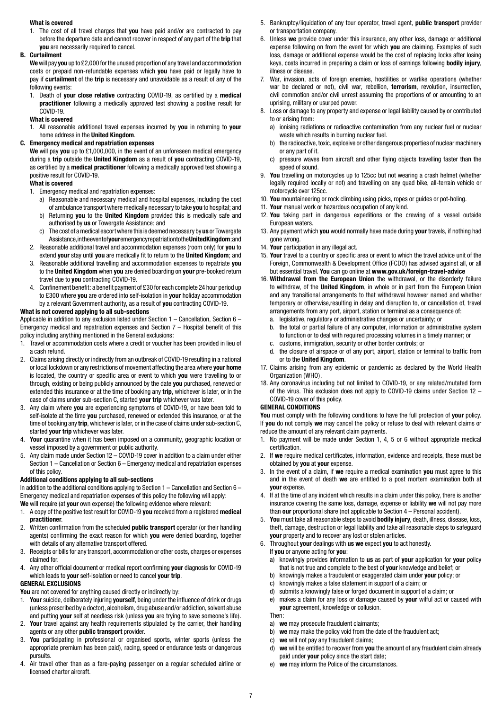#### **What is covered**

1. The cost of all travel charges that **you** have paid and/or are contracted to pay before the departure date and cannot recover in respect of any part of the **trip** that **you** are necessarily required to cancel.

#### **B. Curtailment**

 **We** will pay **you** up to £2,000 for the unused proportion of any travel and accommodation costs or prepaid non-refundable expenses which **you** have paid or legally have to pay if **curtailment** of the **trip** is necessary and unavoidable as a result of any of the following events:

1. Death of **your close relative** contracting COVID-19, as certified by a **medical practitioner** following a medically approved test showing a positive result for COVID-19.

#### **What is covered**

1. All reasonable additional travel expenses incurred by **you** in returning to **your** home address in the **United Kingdom**.

#### **C. Emergency medical and repatriation expenses**

 **We** will pay **you** up to £1,000,000, in the event of an unforeseen medical emergency during a **trip** outside the **United Kingdom** as a result of **you** contracting COVID-19, as certified by a **medical practitioner** following a medically approved test showing a positive result for COVID-19.

#### **What is covered**

- 1. Emergency medical and repatriation expenses:
	- a) Reasonable and necessary medical and hospital expenses, including the cost
	- of ambulance transport where medically necessary to take **you** to hospital; and b) Returning **you** to the **United Kingdom** provided this is medically safe and authorised by **us** or Towergate Assistance; and
	- c) The cost of a medical escort where this is deemed necessary by **us** or Towergate Assistance, in the event of **your** emergency repatriation to the **United Kingdom**; and
- 2. Reasonable additional travel and accommodation expenses (room only) for **you** to extend **your** stay until **you** are medically fit to return to the **United Kingdom**; and
- 3. Reasonable additional travelling and accommodation expenses to repatriate **you** to the **United Kingdom** when **you** are denied boarding on **your** pre-booked return travel due to **you** contracting COVID-19.
- 4. Confinement benefit: a benefit payment of £30 for each complete 24 hour period up to £300 where **you** are ordered into self-isolation in **your** holiday accommodation by a relevant Government authority, as a result of **you** contracting COVID-19.

#### **What is not covered applying to all sub-sections**

Applicable in addition to any exclusion listed under Section 1 – Cancellation, Section 6 – Emergency medical and repatriation expenses and Section 7 – Hospital benefit of this policy including anything mentioned in the General exclusions:

- 1. Travel or accommodation costs where a credit or voucher has been provided in lieu of a cash refund.
- 2. Claims arising directly or indirectly from an outbreak of COVID-19 resulting in a national or local lockdown or any restrictions of movement affecting the area where **your home** is located, the country or specific area or event to which **you** were travelling to or through, existing or being publicly announced by the date **you** purchased, renewed or extended this insurance or at the time of booking any **trip**, whichever is later, or in the case of claims under sub-section C, started **your trip** whichever was later.
- 3. Any claim where **you** are experiencing symptoms of COVID-19, or have been told to self-isolate at the time **you** purchased, renewed or extended this insurance, or at the time of booking any **trip**, whichever is later, or in the case of claims under sub-section C, started **your trip** whichever was later.
- 4. **Your** quarantine when it has been imposed on a community, geographic location or vessel imposed by a government or public authority.
- 5. Any claim made under Section 12 COVID-19 cover in addition to a claim under either Section 1 – Cancellation or Section 6 – Emergency medical and repatriation expenses of this policy.

#### **Additional conditions applying to all sub-sections**

In addition to the additional conditions applying to Section  $1 -$  Cancellation and Section 6 – Emergency medical and repatriation expenses of this policy the following will apply:

**We** will require (at **your** own expense) the following evidence where relevant:

- 1. A copy of the positive test result for COVID-19 **you** received from a registered **medical practitioner**.
- 2. Written confirmation from the scheduled **public transport** operator (or their handling agents) confirming the exact reason for which **you** were denied boarding, together with details of any alternative transport offered.
- 3. Receipts or bills for any transport, accommodation or other costs, charges or expenses claimed for.
- 4. Any other official document or medical report confirming **your** diagnosis for COVID-19 which leads to **your** self-isolation or need to cancel **your trip**.

#### **GENERAL EXCLUSIONS**

You are not covered for anything caused directly or indirectly by:

- 1. **Your** suicide, deliberately injuring **yourself**, being under the influence of drink or drugs (unless prescribed by a doctor), alcoholism, drug abuse and/or addiction, solvent abuse and putting **your** self at needless risk (unless **you** are trying to save someone's life).
- 2. **Your** travel against any health requirements stipulated by the carrier, their handling agents or any other **public transport** provider.
- 3. **You** participating in professional or organised sports, winter sports (unless the appropriate premium has been paid), racing, speed or endurance tests or dangerous pursuits.
- 4. Air travel other than as a fare-paying passenger on a regular scheduled airline or licensed charter aircraft.
- 5. Bankruptcy/liquidation of any tour operator, travel agent, **public transport** provider or transportation company.
- 6. Unless **we** provide cover under this insurance, any other loss, damage or additional expense following on from the event for which **you** are claiming. Examples of such loss, damage or additional expense would be the cost of replacing locks after losing keys, costs incurred in preparing a claim or loss of earnings following **bodily injury**, illness or disease.
- 7. War, invasion, acts of foreign enemies, hostilities or warlike operations (whether war be declared or not), civil war, rebellion, **terrorism**, revolution, insurrection, civil commotion and/or civil unrest assuming the proportions of or amounting to an uprising, military or usurped power.
- 8. Loss or damage to any property and expense or legal liability caused by or contributed to or arising from:
	- a) ionising radiations or radioactive contamination from any nuclear fuel or nuclear waste which results in burning nuclear fuel.
	- b) the radioactive, toxic, explosive or other dangerous properties of nuclear machinery or any part of it.
	- c) pressure waves from aircraft and other flying objects travelling faster than the speed of sound.
- 9. **You** travelling on motorcycles up to 125cc but not wearing a crash helmet (whether legally required locally or not) and travelling on any quad bike, all-terrain vehicle or motorcycle over 125cc.
- 10. **You** mountaineering or rock climbing using picks, ropes or guides or pot-holing.
- 11. **Your** manual work or hazardous occupation of any kind.
- 12. **You** taking part in dangerous expeditions or the crewing of a vessel outside European waters.
- 13. Any payment which **you** would normally have made during **your** travels, if nothing had gone wrong.
- 14. **Your** participation in any illegal act.
- 15. **Your** travel to a country or specific area or event to which the travel advice unit of the Foreign, Commonwealth & Development Office (FCDO) has advised against all, or all but essential travel. **You** can go online at **[www.gov.uk/foreign-travel-advice](https://www.gov.uk/foreign-travel-advice)**
- 16. **Withdrawal from the European Union** the withdrawal, or the disorderly failure to withdraw, of the **United Kingdom**, in whole or in part from the European Union and any transitional arrangements to that withdrawal however named and whether temporary or otherwise,resulting in delay and disruption to, or cancellation of, travel arrangements from any port, airport, station or terminal as a consequence of:
	- a. legislative, regulatory or administrative changes or uncertainty; or
	- b. the total or partial failure of any computer, information or administrative system to function or to deal with required processing volumes in a timely manner; or
	- c. customs, immigration, security or other border controls; or
	- d. the closure of airspace or of any port, airport, station or terminal to traffic from or to the **United Kingdom**.
- 17. Claims arising from any epidemic or pandemic as declared by the World Health Organization (WHO).
- 18. Any coronavirus including but not limited to COVID-19, or any related/mutated form of the virus. This exclusion does not apply to COVID-19 claims under Section 12 – COVID-19 cover of this policy.

#### **GENERAL CONDITIONS**

**You** must comply with the following conditions to have the full protection of **your** policy. If **you** do not comply **we** may cancel the policy or refuse to deal with relevant claims or reduce the amount of any relevant claim payments.

- 1. No payment will be made under Section 1, 4, 5 or 6 without appropriate medical certification.
- 2. If **we** require medical certificates, information, evidence and receipts, these must be obtained by **you** at **your** expense.
- 3. In the event of a claim, if **we** require a medical examination **you** must agree to this and in the event of death **we** are entitled to a post mortem examination both at **your** expense.
- 4. If at the time of any incident which results in a claim under this policy, there is another insurance covering the same loss, damage, expense or liability **we** will not pay more than **our** proportional share (not applicable to Section 4 – Personal accident).
- 5. **You** must take all reasonable steps to avoid **bodily injury**, death, illness, disease, loss, theft, damage, destruction or legal liability and take all reasonable steps to safeguard **your** property and to recover any lost or stolen articles.
- 6. Throughout **your** dealings with **us we** expect **you** to act honestly. If **you** or anyone acting for **you**:
	- a) knowingly provides information to **us** as part of **your** application for **your** policy that is not true and complete to the best of **your** knowledge and belief; or
	- b) knowingly makes a fraudulent or exaggerated claim under **your** policy; or
	- c) knowingly makes a false statement in support of a claim; or
	- d) submits a knowingly false or forged document in support of a claim; or
	- e) makes a claim for any loss or damage caused by **your** wilful act or caused with **your** agreement, knowledge or collusion.

Then:

- a) **we** may prosecute fraudulent claimants;
- b) **we** may make the policy void from the date of the fraudulent act;
- c) **we** will not pay any fraudulent claims;
- d) **we** will be entitled to recover from **you** the amount of any fraudulent claim already paid under **your** policy since the start date;
- e) **we** may inform the Police of the circumstances.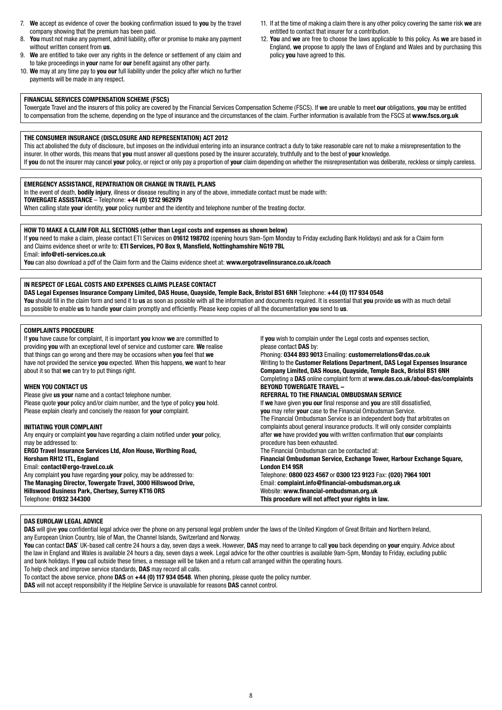- 7. **We** accept as evidence of cover the booking confirmation issued to **you** by the travel company showing that the premium has been paid.
- 8. **You** must not make any payment, admit liability, offer or promise to make any payment without written consent from **us**.
- 9. **We** are entitled to take over any rights in the defence or settlement of any claim and to take proceedings in **your** name for **our** benefit against any other party.
- 10. **We** may at any time pay to **you our** full liability under the policy after which no further payments will be made in any respect.
- 11. If at the time of making a claim there is any other policy covering the same risk **we** are entitled to contact that insurer for a contribution.
- 12. **You** and **we** are free to choose the laws applicable to this policy. As **we** are based in England, **we** propose to apply the laws of England and Wales and by purchasing this policy **you** have agreed to this.

#### **FINANCIAL SERVICES COMPENSATION SCHEME (FSCS)**

Towergate Travel and the insurers of this policy are covered by the Financial Services Compensation Scheme (FSCS). If **we** are unable to meet **our** obligations, **you** may be entitled to compensation from the scheme, depending on the type of insurance and the circumstances of the claim. Further information is available from the FSCS at **[www.fscs.org.uk](http://www.fscs.org.uk)**

#### **THE CONSUMER INSURANCE (DISCLOSURE AND REPRESENTATION) ACT 2012**

This act abolished the duty of disclosure, but imposes on the individual entering into an insurance contract a duty to take reasonable care not to make a misrepresentation to the insurer. In other words, this means that **you** must answer all questions posed by the insurer accurately, truthfully and to the best of **your** knowledge. If **you** do not the insurer may cancel **your** policy, or reject or only pay a proportion of **your** claim depending on whether the misrepresentation was deliberate, reckless or simply careless.

#### **EMERGENCY ASSISTANCE, REPATRIATION OR CHANGE IN TRAVEL PLANS**

In the event of death, **bodily injury**, illness or disease resulting in any of the above, immediate contact must be made with: **TOWERGATE ASSISTANCE** – Telephone: **+44 (0) 1212 962979**

When calling state **your** identity, **your** policy number and the identity and telephone number of the treating doctor.

#### **HOW TO MAKE A CLAIM FOR ALL SECTIONS (other than Legal costs and expenses as shown below)**

If **you** need to make a claim, please contact ETI Services on **01612 198702** (opening hours 9am-5pm Monday to Friday excluding Bank Holidays) and ask for a Claim form and Claims evidence sheet or write to: **ETI Services, PO Box 9, Mansfield, Nottinghamshire NG19 7BL**

Email: **[info@eti-services.co.uk](mailto:info%40eti-services.co.uk?subject=)**

**You** can also download a pdf of the Claim form and the Claims evidence sheet at: **[www.ergotravelinsurance.co.uk/coach](http://www.ergotravelinsurance.co.uk/coach)**

#### **IN RESPECT OF LEGAL COSTS AND EXPENSES CLAIMS PLEASE CONTACT**

**DAS Legal Expenses Insurance Company Limited, DAS House, Quayside, Temple Back, Bristol BS1 6NH** Telephone: **+44 (0) 117 934 0548 You** should fill in the claim form and send it to **us** as soon as possible with all the information and documents required. It is essential that **you** provide **us** with as much detail as possible to enable **us** to handle **your** claim promptly and efficiently. Please keep copies of all the documentation **you** send to **us**.

#### **COMPLAINTS PROCEDURE**

If **you** have cause for complaint, it is important **you** know **we** are committed to providing **you** with an exceptional level of service and customer care. **We** realise that things can go wrong and there may be occasions when **you** feel that **we** have not provided the service **you** expected. When this happens, **we** want to hear about it so that **we** can try to put things right.

#### **WHEN YOU CONTACT US**

Please give **us your** name and a contact telephone number. Please quote **your** policy and/or claim number, and the type of policy **you** hold. Please explain clearly and concisely the reason for **your** complaint.

#### **INITIATING YOUR COMPLAINT**

Any enquiry or complaint **you** have regarding a claim notified under **your** policy, may be addressed to:

**ERGO Travel Insurance Services Ltd, Afon House, Worthing Road, Horsham RH12 1TL, England** Email: **[contact@ergo-travel.co.uk](mailto:contact%40ergo-travel.co.uk?subject=)** Any complaint **you** have regarding **your** policy, may be addressed to: **The Managing Director, Towergate Travel, 3000 Hillswood Drive,** 

**Hillswood Business Park, Chertsey, Surrey KT16 ORS** Telephone: **01932 344300**

please contact **DAS** by: Phoning: **0344 893 9013** Emailing: **[customerrelations@das.co.uk](mailto:customerrelations%40das.co.uk?subject=)** Writing to the **Customer Relations Department, DAS Legal Expenses Insurance Company Limited, DAS House, Quayside, Temple Back, Bristol BS1 6NH**

If **you** wish to complain under the Legal costs and expenses section,

Completing a **DAS** online complaint form at **[www.das.co.uk/about-das/complaints](http://www.das.co.uk/about-das/complaints) BEYOND TOWERGATE TRAVEL – REFERRAL TO THE FINANCIAL OMBUDSMAN SERVICE** If **we** have given **you our** final response and **you** are still dissatisfied, **you** may refer **your** case to the Financial Ombudsman Service. The Financial Ombudsman Service is an independent body that arbitrates on complaints about general insurance products. It will only consider complaints after **we** have provided **you** with written confirmation that **our** complaints procedure has been exhausted. The Financial Ombudsman can be contacted at:

**Financial Ombudsman Service, Exchange Tower, Harbour Exchange Square, London E14 9SR** Telephone: **0800 023 4567** or **0300 123 9123** Fax: **(020) 7964 1001** Email: **[complaint.info@financial-ombudsman.org.uk](mailto:complaint.info%40financial-ombudsman.org.uk?subject=)** Website: **[www.financial-ombudsman.org.uk](http://www.financial-ombudsman.org.uk)**

**This procedure will not affect your rights in law.**

#### **DAS EUROLAW LEGAL ADVICE**

DAS will give you confidential legal advice over the phone on any personal legal problem under the laws of the United Kingdom of Great Britain and Northern Ireland, any European Union Country, Isle of Man, the Channel Islands, Switzerland and Norway.

**You** can contact **DAS**' UK-based call centre 24 hours a day, seven days a week. However, **DAS** may need to arrange to call **you** back depending on **your** enquiry. Advice about the law in England and Wales is available 24 hours a day, seven days a week. Legal advice for the other countries is available 9am-5pm, Monday to Friday, excluding public and bank holidays. If **you** call outside these times, a message will be taken and a return call arranged within the operating hours.

To help check and improve service standards, **DAS** may record all calls.

To contact the above service, phone **DAS** on **+44 (0) 117 934 0548**. When phoning, please quote the policy number.

**DAS** will not accept responsibility if the Helpline Service is unavailable for reasons **DAS** cannot control.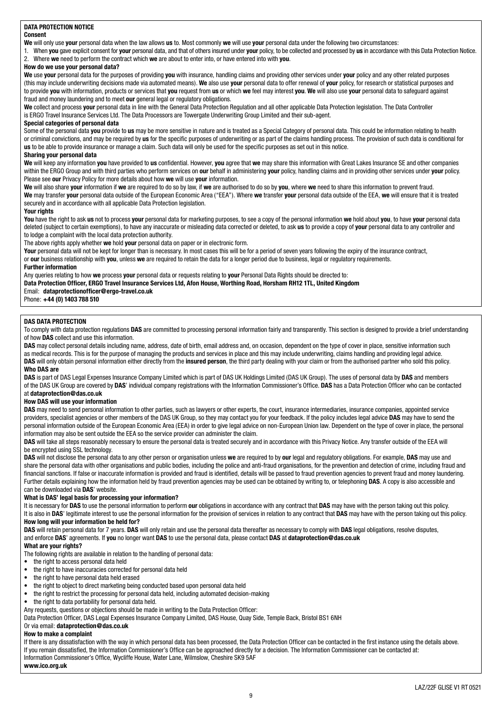#### **DATA PROTECTION NOTICE**

#### **Consent**

**We** will only use **your** personal data when the law allows **us** to. Most commonly **we** will use **your** personal data under the following two circumstances:

1. When **you** gave explicit consent for **your** personal data, and that of others insured under **your** policy, to be collected and processed by **us** in accordance with this Data Protection Notice. 2. Where **we** need to perform the contract which **we** are about to enter into, or have entered into with **you**.

#### **How do we use your personal data?**

**We** use **your** personal data for the purposes of providing **you** with insurance, handling claims and providing other services under **your** policy and any other related purposes (this may include underwriting decisions made via automated means). **We** also use **your** personal data to offer renewal of **your** policy, for research or statistical purposes and to provide **you** with information, products or services that **you** request from **us** or which **we** feel may interest **you**. **We** will also use **your** personal data to safeguard against fraud and money laundering and to meet **our** general legal or regulatory obligations.

**We** collect and process **your** personal data in line with the General Data Protection Regulation and all other applicable Data Protection legislation. The Data Controller is ERGO Travel Insurance Services Ltd. The Data Processors are Towergate Underwriting Group Limited and their sub-agent.

#### **Special categories of personal data**

Some of the personal data **you** provide to **us** may be more sensitive in nature and is treated as a Special Category of personal data. This could be information relating to health or criminal convictions, and may be required by **us** for the specific purposes of underwriting or as part of the claims handling process. The provision of such data is conditional for **us** to be able to provide insurance or manage a claim. Such data will only be used for the specific purposes as set out in this notice.

#### **Sharing your personal data**

**We** will keep any information **you** have provided to **us** confidential. However, **you** agree that **we** may share this information with Great Lakes Insurance SE and other companies within the ERGO Group and with third parties who perform services on **our** behalf in administering **your** policy, handling claims and in providing other services under **your** policy. Please see **our** Privacy Policy for more details about how **we** will use **your** information.

**We** will also share **your** information if **we** are required to do so by law, if **we** are authorised to do so by **you**, where **we** need to share this information to prevent fraud. **We** may transfer **your** personal data outside of the European Economic Area ("EEA"). Where **we** transfer **your** personal data outside of the EEA, **we** will ensure that it is treated securely and in accordance with all applicable Data Protection legislation.

#### **Your rights**

**You** have the right to ask **us** not to process **your** personal data for marketing purposes, to see a copy of the personal information **we** hold about **you**, to have **your** personal data deleted (subject to certain exemptions), to have any inaccurate or misleading data corrected or deleted, to ask **us** to provide a copy of **your** personal data to any controller and to lodge a complaint with the local data protection authority.

The above rights apply whether **we** hold **your** personal data on paper or in electronic form.

Your personal data will not be kept for longer than is necessary. In most cases this will be for a period of seven years following the expiry of the insurance contract, or **our** business relationship with **you**, unless **we** are required to retain the data for a longer period due to business, legal or regulatory requirements.

#### **Further information**

Any queries relating to how **we** process **your** personal data or requests relating to **your** Personal Data Rights should be directed to:

**Data Protection Officer, ERGO Travel Insurance Services Ltd, Afon House, Worthing Road, Horsham RH12 1TL, United Kingdom**

#### Email: **[dataprotectionofficer@ergo-travel.co.uk](mailto:dataprotectionofficer%40ergo-travel.co.uk?subject=)**

Phone: **+44 (0) 1403 788 510**

#### **DAS DATA PROTECTION**

To comply with data protection regulations **DAS** are committed to processing personal information fairly and transparently. This section is designed to provide a brief understanding of how **DAS** collect and use this information.

DAS may collect personal details including name, address, date of birth, email address and, on occasion, dependent on the type of cover in place, sensitive information such as medical records. This is for the purpose of managing the products and services in place and this may include underwriting, claims handling and providing legal advice. **DAS** will only obtain personal information either directly from the **insured person**, the third party dealing with your claim or from the authorised partner who sold this policy. **Who DAS are**

**DAS** is part of DAS Legal Expenses Insurance Company Limited which is part of DAS UK Holdings Limited (DAS UK Group). The uses of personal data by **DAS** and members of the DAS UK Group are covered by **DAS**' individual company registrations with the Information Commissioner's Office. **DAS** has a Data Protection Officer who can be contacted at **[dataprotection@das.co.uk](mailto:dataprotection%40das.co.uk?subject=)**

#### **How DAS will use your information**

**DAS** may need to send personal information to other parties, such as lawyers or other experts, the court, insurance intermediaries, insurance companies, appointed service providers, specialist agencies or other members of the DAS UK Group, so they may contact you for your feedback. If the policy includes legal advice **DAS** may have to send the personal information outside of the European Economic Area (EEA) in order to give legal advice on non-European Union law. Dependent on the type of cover in place, the personal information may also be sent outside the EEA so the service provider can administer the claim.

DAS will take all steps reasonably necessary to ensure the personal data is treated securely and in accordance with this Privacy Notice. Any transfer outside of the EEA will be encrypted using SSL technology.

**DAS** will not disclose the personal data to any other person or organisation unless **we** are required to by **our** legal and regulatory obligations. For example, **DAS** may use and share the personal data with other organisations and public bodies, including the police and anti-fraud organisations, for the prevention and detection of crime, including fraud and financial sanctions. If false or inaccurate information is provided and fraud is identified, details will be passed to fraud prevention agencies to prevent fraud and money laundering. Further details explaining how the information held by fraud prevention agencies may be used can be obtained by writing to, or telephoning **DAS**. A copy is also accessible and can be downloaded via **DAS**' website.

#### **What is DAS' legal basis for processing your information?**

It is necessary for **DAS** to use the personal information to perform **our** obligations in accordance with any contract that **DAS** may have with the person taking out this policy. It is also in **DAS**' legitimate interest to use the personal information for the provision of services in relation to any contract that **DAS** may have with the person taking out this policy. **How long will your information be held for?**

**DAS** will retain personal data for 7 years. **DAS** will only retain and use the personal data thereafter as necessary to comply with **DAS** legal obligations, resolve disputes, and enforce **DAS**' agreements. If **you** no longer want **DAS** to use the personal data, please contact **DAS** at **[dataprotection@das.co.uk](mailto:dataprotection%40das.co.uk?subject=)**

#### **What are your rights?**

The following rights are available in relation to the handling of personal data:

- the right to access personal data held
- the right to have inaccuracies corrected for personal data held
- the right to have personal data held erased
- the right to object to direct marketing being conducted based upon personal data held
- the right to restrict the processing for personal data held, including automated decision-making
- the right to data portability for personal data held.

#### Any requests, questions or objections should be made in writing to the Data Protection Officer:

Data Protection Officer, DAS Legal Expenses Insurance Company Limited, DAS House, Quay Side, Temple Back, Bristol BS1 6NH

### Or via email: **[dataprotection@das.co.uk](mailto:dataprotection%40das.co.uk?subject=)**

#### **How to make a complaint**

If there is any dissatisfaction with the way in which personal data has been processed, the Data Protection Officer can be contacted in the first instance using the details above. If you remain dissatisfied, the Information Commissioner's Office can be approached directly for a decision. The Information Commissioner can be contacted at: Information Commissioner's Office, Wycliffe House, Water Lane, Wilmslow, Cheshire SK9 5AF

#### **[www.ico.org.uk](http://www.ico.org.uk)**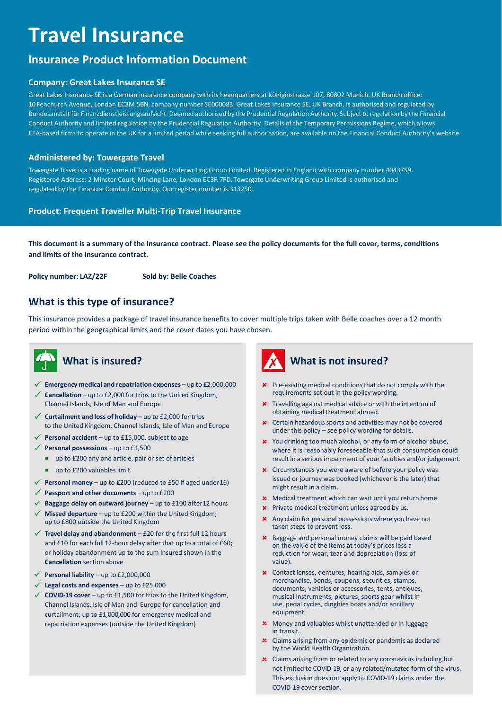# **Travel Insurance**

# **Insurance Product Information Document**

#### **Company: Great Lakes Insurance SE**

Great Lakes Insurance SE is a German insurance company with its headquarters at Königinstrasse 107, 80802 Munich. UK Branch office: 10 Fenchurch Avenue, London EC3M 5BN, company number SE000083. Great Lakes Insurance SE, UK Branch, is authorised and regulated by Bundesanstalt für Finanzdienstleistungsaufsicht. Deemed authorised by the Prudential Regulation Authority. Subject to regulation by the Financial Conduct Authority and limited regulation by the Prudential Regulation Authority. Details of the Temporary Permissions Regime, which allows EEA-based firms to operate in the UK for a limited period while seeking full authorisation, are available on the Financial Conduct Authority's website.

#### **Administered by: Towergate Travel**

Towergate Travel is a trading name of Towergate Underwriting Group Limited. Registered in England with company number 4043759. Registered Address: 2 Minster Court, Mincing Lane, London EC3R 7PD. Towergate Underwriting Group Limited is authorised and regulated by the Financial Conduct Authority. Our register number is 313250.

#### **Product: Frequent Traveller Multi-Trip Travel Insurance**

**This document is a summary of the insurance contract. Please see the policy documents for the full cover, terms, conditions and limits of the insurance contract.**

**Policy number: LAZ/22F Sold by: Belle Coaches**

# **What is this type of insurance?**

This insurance provides a package of travel insurance benefits to cover multiple trips taken with Belle coaches over a 12 month period within the geographical limits and the cover dates you have chosen.



# **What is insured?**

- ✓ **Emergency medical and repatriation expenses** up to £2,000,000
- Cancellation up to £2,000 for trips to the United Kingdom, Channel Islands, Isle of Man and Europe
- ✓ **Curtailment and loss of holiday** up to £2,000 for trips to the United Kingdom, Channel Islands, Isle of Man and Europe
- ✓ **Personal accident**  up to £15,000, subject to age
- ✓ **Personal possessions**  up to £1,500
	- up to £200 any one article, pair or set of articles
	- up to £200 valuables limit
- $\checkmark$  **Personal money** up to £200 (reduced to £50 if aged under 16)
- ✓ **Passport and other documents**  up to £200
- ✓ **Baggage delay on outward journey**  up to £100 after12 hours
- **Missed departure** up to £200 within the United Kingdom; up to £800 outside the United Kingdom
- ✓ **Travel delay and abandonment**  £20 for the first full 12 hours and £10 for each full 12-hour delay after that up to a total of £60; or holiday abandonment up to the sum insured shown in the **Cancellation** section above
- $\checkmark$  **Personal liability** up to £2,000,000
- ✓ **Legal costs and expenses**  up to £25,000
- ✓ **COVID-19 cover**  up to £1,500 for trips to the United Kingdom, Channel Islands, Isle of Man and Europe for cancellation and curtailment; up to £1,000,000 for emergency medical and repatriation expenses (outside the United Kingdom)



- **x** Pre-existing medical conditions that do not comply with the requirements set out in the policy wording.
- **x** Travelling against medical advice or with the intention of obtaining medical treatment abroad.
- **x** Certain hazardous sports and activities may not be covered under this policy – see policy wording fordetails.
- **x** You drinking too much alcohol, or any form of alcohol abuse, where it is reasonably foreseeable that such consumption could result in a serious impairment of your faculties and/or judgement.
- **x** Circumstances you were aware of before your policy was issued or journey was booked (whichever is the later) that might result in a claim.
- **x** Medical treatment which can wait until you return home.
- **x** Private medical treatment unless agreed by us.
- **x** Any claim for personal possessions where you have not taken steps to prevent loss.
- **x** Baggage and personal money claims will be paid based on the value of the items at today's prices less a reduction for wear, tear and depreciation (loss of value).
- Contact lenses, dentures, hearing aids, samples or merchandise, bonds, coupons, securities, stamps, documents, vehicles or accessories, tents, antiques, musical instruments, pictures, sports gear whilst in use, pedal cycles, dinghies boats and/or ancillary equipment.
- **x** Money and valuables whilst unattended or in luggage in transit.
- **x** Claims arising from any epidemic or pandemic as declared by the World Health Organization.
- Claims arising from or related to any coronavirus including but not limited to COVID-19, or any related/mutated form of the virus. This exclusion does not apply to COVID-19 claims under the COVID-19 cover section.